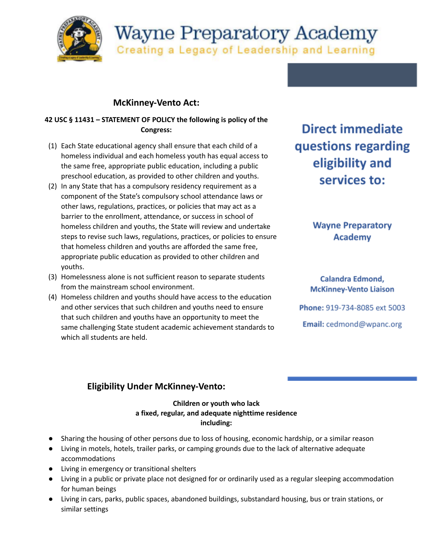

# **Wayne Preparatory Academy** Creating a Legacy of Leadership and Learning

## **McKinney-Vento Act:**

#### **42 USC § 11431 – STATEMENT OF POLICY the following is policy of the Congress:**

- (1) Each State educational agency shall ensure that each child of a homeless individual and each homeless youth has equal access to the same free, appropriate public education, including a public preschool education, as provided to other children and youths.
- (2) In any State that has a compulsory residency requirement as a component of the State's compulsory school attendance laws or other laws, regulations, practices, or policies that may act as a barrier to the enrollment, attendance, or success in school of homeless children and youths, the State will review and undertake steps to revise such laws, regulations, practices, or policies to ensure that homeless children and youths are afforded the same free, appropriate public education as provided to other children and youths.
- (3) Homelessness alone is not sufficient reason to separate students from the mainstream school environment.
- (4) Homeless children and youths should have access to the education and other services that such children and youths need to ensure that such children and youths have an opportunity to meet the same challenging State student academic achievement standards to which all students are held.

# **Direct immediate** questions regarding eligibility and services to:

# **Wayne Preparatory Academy**

#### Calandra Edmond, **McKinney-Vento Liaison**

Phone: 919-734-8085 ext 5003 Email: cedmond@wpanc.org

# **Eligibility Under McKinney-Vento:**

#### **Children or youth who lack a fixed, regular, and adequate nighttime residence including:**

- Sharing the housing of other persons due to loss of housing, economic hardship, or a similar reason
- Living in motels, hotels, trailer parks, or camping grounds due to the lack of alternative adequate accommodations
- Living in emergency or transitional shelters
- Living in a public or private place not designed for or ordinarily used as a regular sleeping accommodation for human beings
- Living in cars, parks, public spaces, abandoned buildings, substandard housing, bus or train stations, or similar settings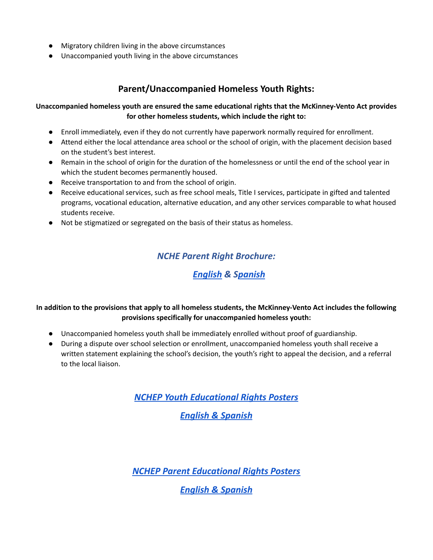- Migratory children living in the above circumstances
- Unaccompanied youth living in the above circumstances

## **Parent/Unaccompanied Homeless Youth Rights:**

#### **Unaccompanied homeless youth are ensured the same educational rights that the McKinney-Vento Act provides for other homeless students, which include the right to:**

- Enroll immediately, even if they do not currently have paperwork normally required for enrollment.
- Attend either the local attendance area school or the school of origin, with the placement decision based on the student's best interest.
- Remain in the school of origin for the duration of the homelessness or until the end of the school year in which the student becomes permanently housed.
- Receive transportation to and from the school of origin.
- Receive educational services, such as free school meals, Title I services, participate in gifted and talented programs, vocational education, alternative education, and any other services comparable to what housed students receive.
- Not be stigmatized or segregated on the basis of their status as homeless.

## *NCHE Parent Right Brochure:*

## *[English](https://nche.ed.gov/wp-content/uploads/2018/11/parentbrochure_eng.pdf) & S[panish](https://nche.ed.gov/wp-content/uploads/2018/11/parentbrochure_sp.pdf)*

#### In addition to the provisions that apply to all homeless students, the McKinney-Vento Act includes the following **provisions specifically for unaccompanied homeless youth:**

- Unaccompanied homeless youth shall be immediately enrolled without proof of guardianship.
- During a dispute over school selection or enrollment, unaccompanied homeless youth shall receive a written statement explaining the school's decision, the youth's right to appeal the decision, and a referral to the local liaison.

*NCHEP Youth [Educational](https://hepnc.uncg.edu/wp-content/uploads/Docs/NCHEPyouthposter17.pdf) Rights Posters*

*English & [Spanish](https://hepnc.uncg.edu/wp-content/uploads/Docs/NCHEPyouthposter17.pdf)*

*NCHEP Parent [Educational](https://hepnc.uncg.edu/wp-content/uploads/Docs/NCHEPparentposter17.pdf.) Rights Posters*

*English & [Spanish](https://hepnc.uncg.edu/wp-content/uploads/Docs/NCHEPparentposter17.pdf.)*